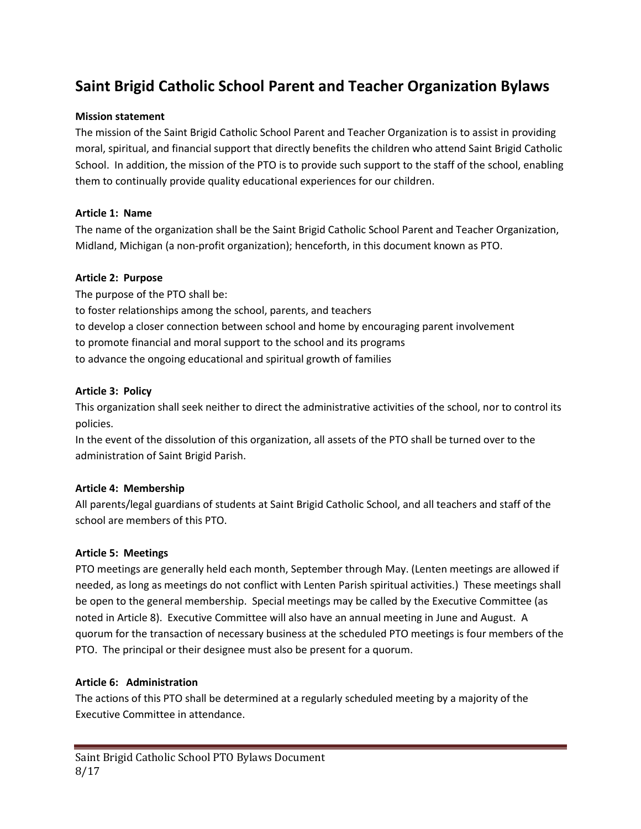# **Saint Brigid Catholic School Parent and Teacher Organization Bylaws**

## **Mission statement**

The mission of the Saint Brigid Catholic School Parent and Teacher Organization is to assist in providing moral, spiritual, and financial support that directly benefits the children who attend Saint Brigid Catholic School. In addition, the mission of the PTO is to provide such support to the staff of the school, enabling them to continually provide quality educational experiences for our children.

## **Article 1: Name**

The name of the organization shall be the Saint Brigid Catholic School Parent and Teacher Organization, Midland, Michigan (a non-profit organization); henceforth, in this document known as PTO.

## **Article 2: Purpose**

The purpose of the PTO shall be: to foster relationships among the school, parents, and teachers to develop a closer connection between school and home by encouraging parent involvement to promote financial and moral support to the school and its programs to advance the ongoing educational and spiritual growth of families

## **Article 3: Policy**

This organization shall seek neither to direct the administrative activities of the school, nor to control its policies.

In the event of the dissolution of this organization, all assets of the PTO shall be turned over to the administration of Saint Brigid Parish.

## **Article 4: Membership**

All parents/legal guardians of students at Saint Brigid Catholic School, and all teachers and staff of the school are members of this PTO.

## **Article 5: Meetings**

PTO meetings are generally held each month, September through May. (Lenten meetings are allowed if needed, as long as meetings do not conflict with Lenten Parish spiritual activities.) These meetings shall be open to the general membership. Special meetings may be called by the Executive Committee (as noted in Article 8). Executive Committee will also have an annual meeting in June and August. A quorum for the transaction of necessary business at the scheduled PTO meetings is four members of the PTO. The principal or their designee must also be present for a quorum.

#### **Article 6: Administration**

The actions of this PTO shall be determined at a regularly scheduled meeting by a majority of the Executive Committee in attendance.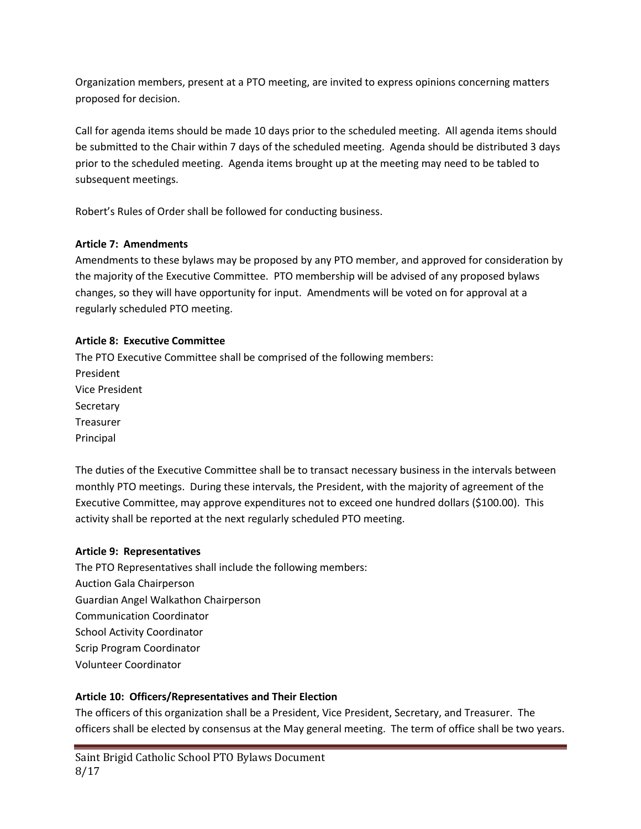Organization members, present at a PTO meeting, are invited to express opinions concerning matters proposed for decision.

Call for agenda items should be made 10 days prior to the scheduled meeting. All agenda items should be submitted to the Chair within 7 days of the scheduled meeting. Agenda should be distributed 3 days prior to the scheduled meeting. Agenda items brought up at the meeting may need to be tabled to subsequent meetings.

Robert's Rules of Order shall be followed for conducting business.

# **Article 7: Amendments**

Amendments to these bylaws may be proposed by any PTO member, and approved for consideration by the majority of the Executive Committee. PTO membership will be advised of any proposed bylaws changes, so they will have opportunity for input. Amendments will be voted on for approval at a regularly scheduled PTO meeting.

# **Article 8: Executive Committee**

The PTO Executive Committee shall be comprised of the following members: President Vice President **Secretary** Treasurer Principal

The duties of the Executive Committee shall be to transact necessary business in the intervals between monthly PTO meetings. During these intervals, the President, with the majority of agreement of the Executive Committee, may approve expenditures not to exceed one hundred dollars (\$100.00). This activity shall be reported at the next regularly scheduled PTO meeting.

# **Article 9: Representatives**

The PTO Representatives shall include the following members: Auction Gala Chairperson Guardian Angel Walkathon Chairperson Communication Coordinator School Activity Coordinator Scrip Program Coordinator Volunteer Coordinator

# **Article 10: Officers/Representatives and Their Election**

The officers of this organization shall be a President, Vice President, Secretary, and Treasurer. The officers shall be elected by consensus at the May general meeting. The term of office shall be two years.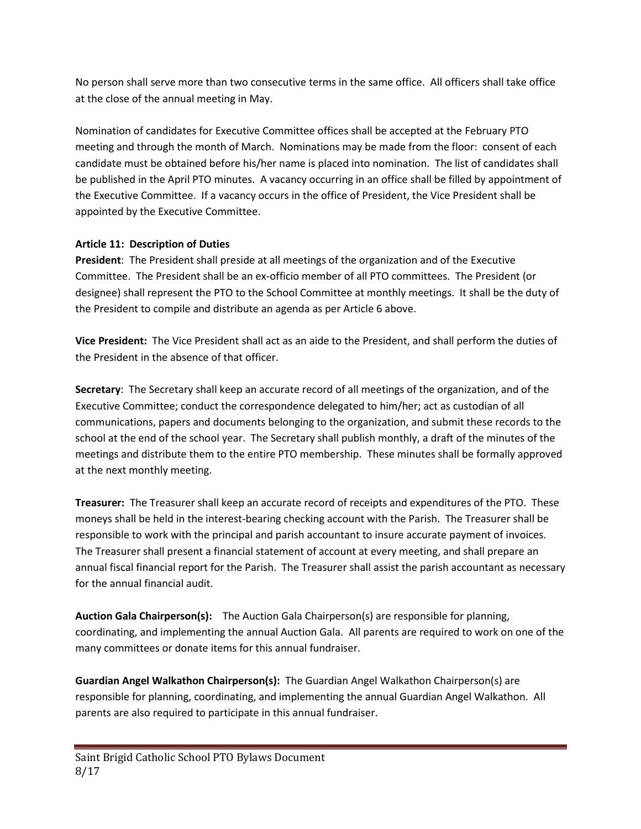No person shall serve more than two consecutive terms in the same office. All officers shall take office at the close of the annual meeting in May.

Nomination of candidates for Executive Committee offices shall be accepted at the February PTO meeting and through the month of March. Nominations may be made from the floor: consent of each candidate must be obtained before his/her name is placed into nomination. The list of candidates shall be published in the April PTO minutes. A vacancy occurring in an office shall be filled by appointment of the Executive Committee. If a vacancy occurs in the office of President, the Vice President shall be appointed by the Executive Committee.

## **Article 11: Description of Duties**

**President**: The President shall preside at all meetings of the organization and of the Executive Committee. The President shall be an ex-officio member of all PTO committees. The President (or designee) shall represent the PTO to the School Committee at monthly meetings. It shall be the duty of the President to compile and distribute an agenda as per Article 6 above.

**Vice President:** The Vice President shall act as an aide to the President, and shall perform the duties of the President in the absence of that officer.

**Secretary**: The Secretary shall keep an accurate record of all meetings of the organization, and of the Executive Committee; conduct the correspondence delegated to him/her; act as custodian of all communications, papers and documents belonging to the organization, and submit these records to the school at the end of the school year. The Secretary shall publish monthly, a draft of the minutes of the meetings and distribute them to the entire PTO membership. These minutes shall be formally approved at the next monthly meeting.

**Treasurer:** The Treasurer shall keep an accurate record of receipts and expenditures of the PTO. These moneys shall be held in the interest-bearing checking account with the Parish. The Treasurer shall be responsible to work with the principal and parish accountant to insure accurate payment of invoices. The Treasurer shall present a financial statement of account at every meeting, and shall prepare an annual fiscal financial report for the Parish. The Treasurer shall assist the parish accountant as necessary for the annual financial audit.

**Auction Gala Chairperson(s):** The Auction Gala Chairperson(s) are responsible for planning, coordinating, and implementing the annual Auction Gala. All parents are required to work on one of the many committees or donate items for this annual fundraiser.

**Guardian Angel Walkathon Chairperson(s):** The Guardian Angel Walkathon Chairperson(s) are responsible for planning, coordinating, and implementing the annual Guardian Angel Walkathon. All parents are also required to participate in this annual fundraiser.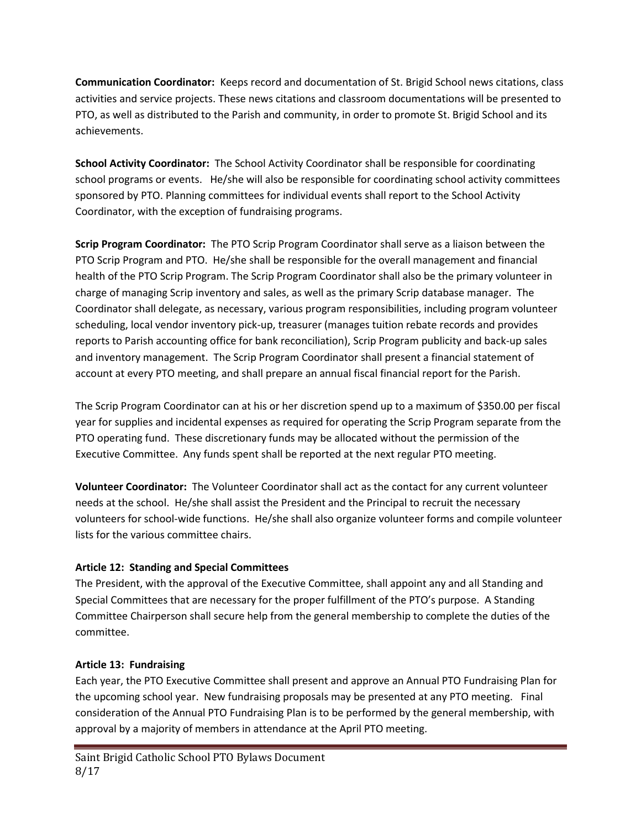**Communication Coordinator:** Keeps record and documentation of St. Brigid School news citations, class activities and service projects. These news citations and classroom documentations will be presented to PTO, as well as distributed to the Parish and community, in order to promote St. Brigid School and its achievements.

**School Activity Coordinator:** The School Activity Coordinator shall be responsible for coordinating school programs or events. He/she will also be responsible for coordinating school activity committees sponsored by PTO. Planning committees for individual events shall report to the School Activity Coordinator, with the exception of fundraising programs.

**Scrip Program Coordinator:** The PTO Scrip Program Coordinator shall serve as a liaison between the PTO Scrip Program and PTO. He/she shall be responsible for the overall management and financial health of the PTO Scrip Program. The Scrip Program Coordinator shall also be the primary volunteer in charge of managing Scrip inventory and sales, as well as the primary Scrip database manager. The Coordinator shall delegate, as necessary, various program responsibilities, including program volunteer scheduling, local vendor inventory pick-up, treasurer (manages tuition rebate records and provides reports to Parish accounting office for bank reconciliation), Scrip Program publicity and back-up sales and inventory management. The Scrip Program Coordinator shall present a financial statement of account at every PTO meeting, and shall prepare an annual fiscal financial report for the Parish.

The Scrip Program Coordinator can at his or her discretion spend up to a maximum of \$350.00 per fiscal year for supplies and incidental expenses as required for operating the Scrip Program separate from the PTO operating fund. These discretionary funds may be allocated without the permission of the Executive Committee. Any funds spent shall be reported at the next regular PTO meeting.

**Volunteer Coordinator:** The Volunteer Coordinator shall act as the contact for any current volunteer needs at the school. He/she shall assist the President and the Principal to recruit the necessary volunteers for school-wide functions. He/she shall also organize volunteer forms and compile volunteer lists for the various committee chairs.

## **Article 12: Standing and Special Committees**

The President, with the approval of the Executive Committee, shall appoint any and all Standing and Special Committees that are necessary for the proper fulfillment of the PTO's purpose. A Standing Committee Chairperson shall secure help from the general membership to complete the duties of the committee.

## **Article 13: Fundraising**

Each year, the PTO Executive Committee shall present and approve an Annual PTO Fundraising Plan for the upcoming school year. New fundraising proposals may be presented at any PTO meeting. Final consideration of the Annual PTO Fundraising Plan is to be performed by the general membership, with approval by a majority of members in attendance at the April PTO meeting.